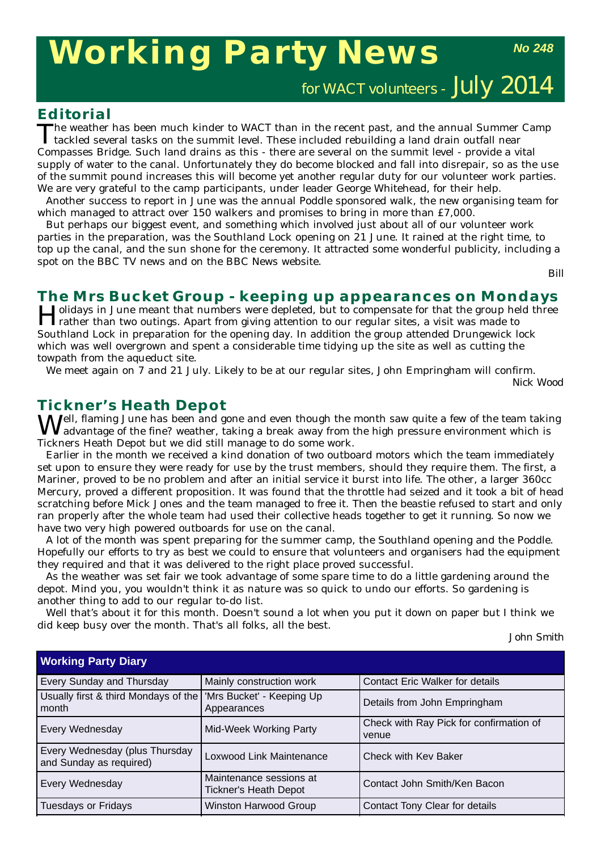# **Working Party News**

*No 248*

for WACT volunteers - July 2014

### **Editorial**

The weather has been much kinder to WACT than in the recent past, and the annual Summer Camp<br>tackled several tasks on the summit level. These included rebuilding a land drain outfall near Compasses Bridge. Such land drains as this - there are several on the summit level - provide a vital supply of water to the canal. Unfortunately they do become blocked and fall into disrepair, so as the use of the summit pound increases this will become yet another regular duty for our volunteer work parties. We are very grateful to the camp participants, under leader George Whitehead, for their help.

Another success to report in June was the annual Poddle sponsored walk, the new organising team for which managed to attract over 150 walkers and promises to bring in more than £7,000.

But perhaps our biggest event, and something which involved just about all of our volunteer work parties in the preparation, was the Southland Lock opening on 21 June. It rained at the right time, to top up the canal, and the sun shone for the ceremony. It attracted some wonderful publicity, including a spot on the BBC TV news and on the BBC News website.

*Bill*

# **The Mrs Bucket Group - keeping up appearances on Mondays**<br>**I Jolidays in June meant that numbers were depleted, but to compensate for that the group held three**

Holidays in June meant that numbers were depleted, but to compensate for that the group held three<br>Trather than two outings. Apart from giving attention to our regular sites, a visit was made to Southland Lock in preparation for the opening day. In addition the group attended Drungewick lock which was well overgrown and spent a considerable time tidying up the site as well as cutting the towpath from the aqueduct site.

We meet again on 7 and 21 July. Likely to be at our regular sites, John Empringham will confirm.

*Nick Wood*

# **Tickner's Heath Depot**

Well, flaming June has been and gone and even though the month saw quite a few of the team taking  $V$  advantage of the fine? weather, taking a break away from the high pressure environment which is Tickners Heath Depot but we did still manage to do some work.

Earlier in the month we received a kind donation of two outboard motors which the team immediately set upon to ensure they were ready for use by the trust members, should they require them. The first, a Mariner, proved to be no problem and after an initial service it burst into life. The other, a larger 360cc Mercury, proved a different proposition. It was found that the throttle had seized and it took a bit of head scratching before Mick Jones and the team managed to free it. Then the beastie refused to start and only ran properly after the whole team had used their collective heads together to get it running. So now we have two very high powered outboards for use on the canal.

A lot of the month was spent preparing for the summer camp, the Southland opening and the Poddle. Hopefully our efforts to try as best we could to ensure that volunteers and organisers had the equipment they required and that it was delivered to the right place proved successful.

As the weather was set fair we took advantage of some spare time to do a little gardening around the depot. Mind you, you wouldn't think it as nature was so quick to undo our efforts. So gardening is another thing to add to our regular to-do list.

Well that's about it for this month. Doesn't sound a lot when you put it down on paper but I think we did keep busy over the month. That's all folks, all the best.

*John Smith*

| <b>Working Party Diary</b>                                                  |                                                         |                                                  |
|-----------------------------------------------------------------------------|---------------------------------------------------------|--------------------------------------------------|
| <b>Every Sunday and Thursday</b>                                            | Mainly construction work                                | Contact Eric Walker for details                  |
| Usually first & third Mondays of the   'Mrs Bucket' - Keeping Up<br>l month | Appearances                                             | Details from John Empringham                     |
| <b>Every Wednesday</b>                                                      | <b>Mid-Week Working Party</b>                           | Check with Ray Pick for confirmation of<br>venue |
| Every Wednesday (plus Thursday<br>and Sunday as required)                   | Loxwood Link Maintenance                                | <b>Check with Key Baker</b>                      |
| <b>Every Wednesday</b>                                                      | Maintenance sessions at<br><b>Tickner's Heath Depot</b> | Contact John Smith/Ken Bacon                     |
| Tuesdays or Fridays                                                         | <b>Winston Harwood Group</b>                            | Contact Tony Clear for details                   |